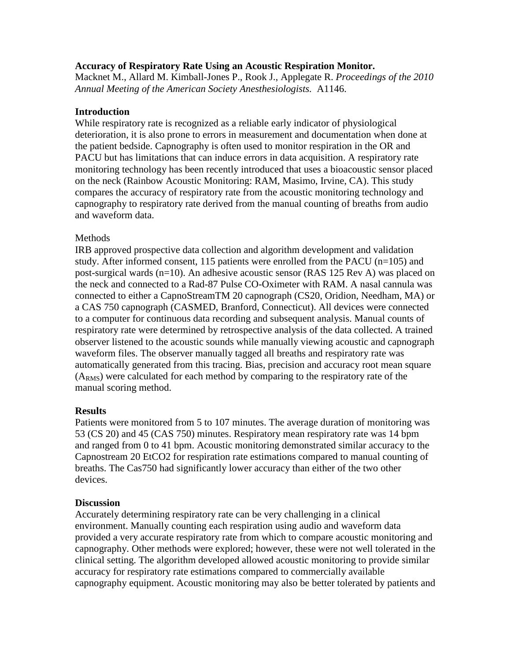### **Accuracy of Respiratory Rate Using an Acoustic Respiration Monitor.**

Macknet M., Allard M. Kimball-Jones P., Rook J., Applegate R. *Proceedings of the 2010 Annual Meeting of the American Society Anesthesiologists.* A1146.

## **Introduction**

While respiratory rate is recognized as a reliable early indicator of physiological deterioration, it is also prone to errors in measurement and documentation when done at the patient bedside. Capnography is often used to monitor respiration in the OR and PACU but has limitations that can induce errors in data acquisition. A respiratory rate monitoring technology has been recently introduced that uses a bioacoustic sensor placed on the neck (Rainbow Acoustic Monitoring: RAM, Masimo, Irvine, CA). This study compares the accuracy of respiratory rate from the acoustic monitoring technology and capnography to respiratory rate derived from the manual counting of breaths from audio and waveform data.

### **Methods**

IRB approved prospective data collection and algorithm development and validation study. After informed consent, 115 patients were enrolled from the PACU (n=105) and post-surgical wards (n=10). An adhesive acoustic sensor (RAS 125 Rev A) was placed on the neck and connected to a Rad-87 Pulse CO-Oximeter with RAM. A nasal cannula was connected to either a CapnoStreamTM 20 capnograph (CS20, Oridion, Needham, MA) or a CAS 750 capnograph (CASMED, Branford, Connecticut). All devices were connected to a computer for continuous data recording and subsequent analysis. Manual counts of respiratory rate were determined by retrospective analysis of the data collected. A trained observer listened to the acoustic sounds while manually viewing acoustic and capnograph waveform files. The observer manually tagged all breaths and respiratory rate was automatically generated from this tracing. Bias, precision and accuracy root mean square  $(A<sub>RMS</sub>)$  were calculated for each method by comparing to the respiratory rate of the manual scoring method.

# **Results**

Patients were monitored from 5 to 107 minutes. The average duration of monitoring was 53 (CS 20) and 45 (CAS 750) minutes. Respiratory mean respiratory rate was 14 bpm and ranged from 0 to 41 bpm. Acoustic monitoring demonstrated similar accuracy to the Capnostream 20 EtCO2 for respiration rate estimations compared to manual counting of breaths. The Cas750 had significantly lower accuracy than either of the two other devices.

#### **Discussion**

Accurately determining respiratory rate can be very challenging in a clinical environment. Manually counting each respiration using audio and waveform data provided a very accurate respiratory rate from which to compare acoustic monitoring and capnography. Other methods were explored; however, these were not well tolerated in the clinical setting. The algorithm developed allowed acoustic monitoring to provide similar accuracy for respiratory rate estimations compared to commercially available capnography equipment. Acoustic monitoring may also be better tolerated by patients and